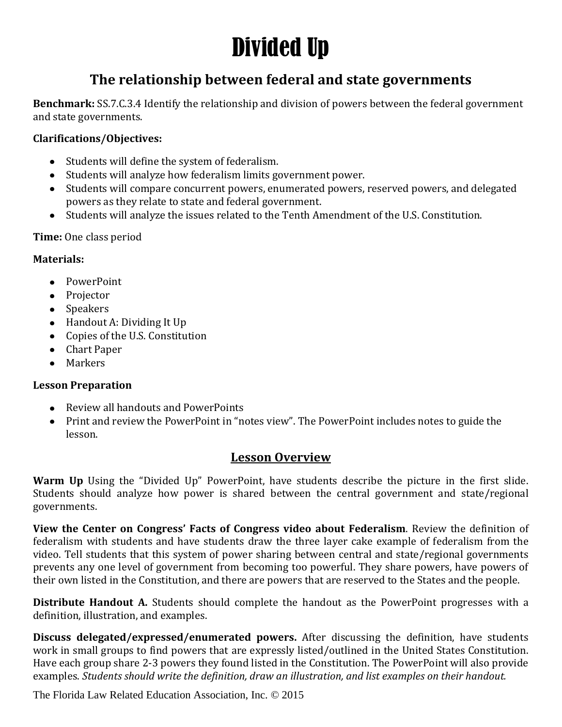# Divided Up

### **The relationship between federal and state governments**

**Benchmark:** SS.7.C.3.4 Identify the relationship and division of powers between the federal government and state governments.

#### **Clarifications/Objectives:**

- Students will define the system of federalism.
- Students will analyze how federalism limits government power.
- Students will compare concurrent powers, enumerated powers, reserved powers, and delegated powers as they relate to state and federal government.
- Students will analyze the issues related to the Tenth Amendment of the U.S. Constitution.

#### **Time:** One class period

#### **Materials:**

- PowerPoint
- Projector
- Speakers
- Handout A: Dividing It Up
- Copies of the U.S. Constitution
- Chart Paper
- Markers

#### **Lesson Preparation**

- Review all handouts and PowerPoints
- Print and review the PowerPoint in "notes view". The PowerPoint includes notes to guide the lesson.

#### **Lesson Overview**

**Warm Up** Using the "Divided Up" PowerPoint, have students describe the picture in the first slide. Students should analyze how power is shared between the central government and state/regional governments.

**View the Center on Congress' Facts of Congress video about Federalism**. Review the definition of federalism with students and have students draw the three layer cake example of federalism from the video. Tell students that this system of power sharing between central and state/regional governments prevents any one level of government from becoming too powerful. They share powers, have powers of their own listed in the Constitution, and there are powers that are reserved to the States and the people.

**Distribute Handout A.** Students should complete the handout as the PowerPoint progresses with a definition, illustration, and examples.

**Discuss delegated/expressed/enumerated powers.** After discussing the definition, have students work in small groups to find powers that are expressly listed/outlined in the United States Constitution. Have each group share 2-3 powers they found listed in the Constitution. The PowerPoint will also provide examples. *Students should write the definition, draw an illustration, and list examples on their handout.* 

The Florida Law Related Education Association, Inc. © 2015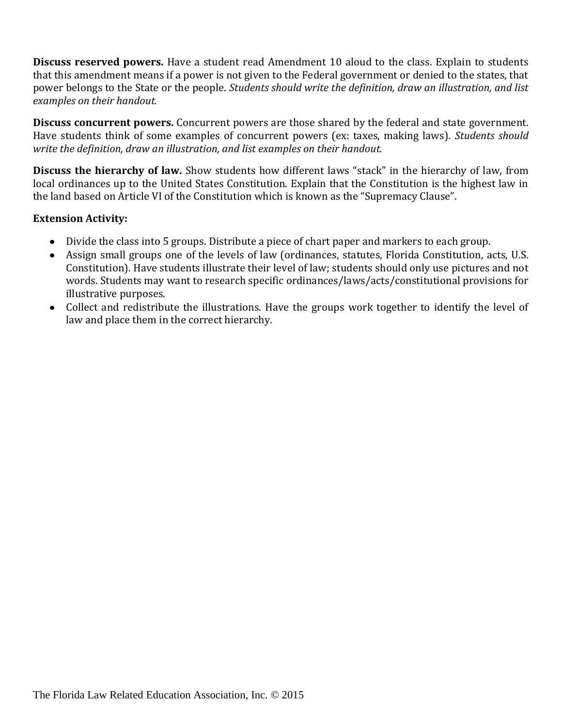**Discuss reserved powers.** Have a student read Amendment 10 aloud to the class. Explain to students that this amendment means if a power is not given to the Federal government or denied to the states, that power belongs to the State or the people. *Students should write the definition, draw an illustration, and list examples on their handout.* 

**Discuss concurrent powers.** Concurrent powers are those shared by the federal and state government. Have students think of some examples of concurrent powers (ex: taxes, making laws). *Students should write the definition, draw an illustration, and list examples on their handout.* 

**Discuss the hierarchy of law.** Show students how different laws "stack" in the hierarchy of law, from local ordinances up to the United States Constitution. Explain that the Constitution is the highest law in the land based on Article VI of the Constitution which is known as the "Supremacy Clause".

#### **Extension Activity:**

- Divide the class into 5 groups. Distribute a piece of chart paper and markers to each group.
- Assign small groups one of the levels of law (ordinances, statutes, Florida Constitution, acts, U.S. Constitution). Have students illustrate their level of law; students should only use pictures and not words. Students may want to research specific ordinances/laws/acts/constitutional provisions for illustrative purposes.
- Collect and redistribute the illustrations. Have the groups work together to identify the level of law and place them in the correct hierarchy.